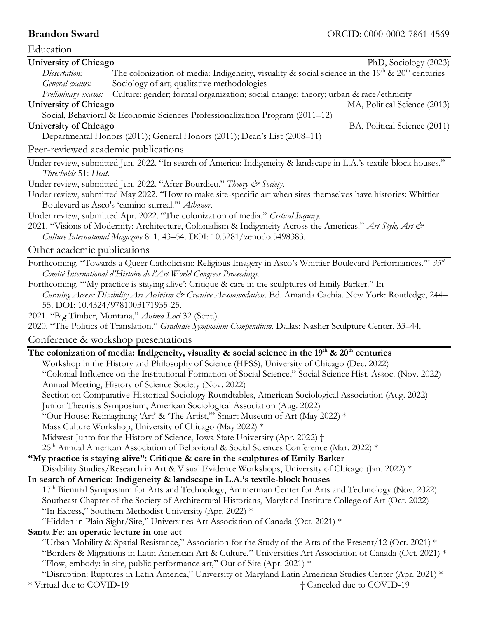| Education                                                                                                                      |  |  |  |
|--------------------------------------------------------------------------------------------------------------------------------|--|--|--|
| <b>University of Chicago</b><br>PhD, Sociology (2023)                                                                          |  |  |  |
| The colonization of media: Indigeneity, visuality & social science in the $19th$ & $20th$ centuries<br>Dissertation:           |  |  |  |
| Sociology of art; qualitative methodologies<br>General exams:                                                                  |  |  |  |
| Culture; gender; formal organization; social change; theory; urban & race/ethnicity<br>Preliminary exams:                      |  |  |  |
| <b>University of Chicago</b><br>MA, Political Science (2013)                                                                   |  |  |  |
| Social, Behavioral & Economic Sciences Professionalization Program (2011-12)                                                   |  |  |  |
| <b>University of Chicago</b><br>BA, Political Science (2011)                                                                   |  |  |  |
| Departmental Honors (2011); General Honors (2011); Dean's List (2008-11)                                                       |  |  |  |
| Peer-reviewed academic publications                                                                                            |  |  |  |
| Under review, submitted Jun. 2022. "In search of America: Indigeneity & landscape in L.A.'s textile-block houses."             |  |  |  |
| Thresholds 51: Heat.                                                                                                           |  |  |  |
| Under review, submitted Jun. 2022. "After Bourdieu." Theory & Society.                                                         |  |  |  |
| Under review, submitted May 2022. "How to make site-specific art when sites themselves have histories: Whittier                |  |  |  |
| Boulevard as Asco's 'camino surreal." Athanor.                                                                                 |  |  |  |
| Under review, submitted Apr. 2022. "The colonization of media." Critical Inquiry.                                              |  |  |  |
| 2021. "Visions of Modernity: Architecture, Colonialism & Indigeneity Across the Americas." Art Style, Art &                    |  |  |  |
| Culture International Magazine 8: 1, 43-54. DOI: 10.5281/zenodo.5498383.                                                       |  |  |  |
| Other academic publications                                                                                                    |  |  |  |
| Forthcoming. "Towards a Queer Catholicism: Religious Imagery in Asco's Whittier Boulevard Performances." 35th                  |  |  |  |
| Comité International d'Histoire de l'Art World Congress Proceedings.                                                           |  |  |  |
| Forthcoming. "'My practice is staying alive': Critique & care in the sculptures of Emily Barker." In                           |  |  |  |
| Curating Access: Disability Art Activism & Creative Accommodation. Ed. Amanda Cachia. New York: Routledge, 244-                |  |  |  |
| 55. DOI: 10.4324/9781003171935-25.                                                                                             |  |  |  |
| 2021. "Big Timber, Montana," Anima Loci 32 (Sept.).                                                                            |  |  |  |
| 2020. "The Politics of Translation." Graduate Symposium Compendium. Dallas: Nasher Sculpture Center, 33-44.                    |  |  |  |
| Conference & workshop presentations                                                                                            |  |  |  |
| The colonization of media: Indigeneity, visuality & social science in the 19 <sup>th</sup> & 20 <sup>th</sup> centuries        |  |  |  |
| Workshop in the History and Philosophy of Science (HPSS), University of Chicago (Dec. 2022)                                    |  |  |  |
| "Colonial Influence on the Institutional Formation of Social Science," Social Science Hist. Assoc. (Nov. 2022)                 |  |  |  |
| Annual Meeting, History of Science Society (Nov. 2022)                                                                         |  |  |  |
| Section on Comparative-Historical Sociology Roundtables, American Sociological Association (Aug. 2022)                         |  |  |  |
| Junior Theorists Symposium, American Sociological Association (Aug. 2022)                                                      |  |  |  |
| "Our House: Reimagining 'Art' & 'The Artist," Smart Museum of Art (May 2022) *                                                 |  |  |  |
| Mass Culture Workshop, University of Chicago (May 2022) *                                                                      |  |  |  |
| Midwest Junto for the History of Science, Iowa State University (Apr. 2022) +                                                  |  |  |  |
| 25 <sup>th</sup> Annual American Association of Behavioral & Social Sciences Conference (Mar. 2022) *                          |  |  |  |
| "My practice is staying alive": Critique & care in the sculptures of Emily Barker                                              |  |  |  |
| Disability Studies/Research in Art & Visual Evidence Workshops, University of Chicago (Jan. 2022) *                            |  |  |  |
| In search of America: Indigeneity & landscape in L.A.'s textile-block houses                                                   |  |  |  |
| 17 <sup>th</sup> Biennial Symposium for Arts and Technology, Ammerman Center for Arts and Technology (Nov. 2022)               |  |  |  |
| Southeast Chapter of the Society of Architectural Historians, Maryland Institute College of Art (Oct. 2022)                    |  |  |  |
| "In Excess," Southern Methodist University (Apr. 2022) *                                                                       |  |  |  |
| "Hidden in Plain Sight/Site," Universities Art Association of Canada (Oct. 2021) *<br>Santa Fe: an operatic lecture in one act |  |  |  |
| "Urban Mobility & Spatial Resistance," Association for the Study of the Arts of the Present/12 (Oct. 2021) *                   |  |  |  |
| "Borders & Migrations in Latin American Art & Culture," Universities Art Association of Canada (Oct. 2021) *                   |  |  |  |
| "Flow, embody: in site, public performance art," Out of Site (Apr. 2021) *                                                     |  |  |  |
| "Disruption: Ruptures in Latin America," University of Maryland Latin American Studies Center (Apr. 2021) *                    |  |  |  |

\* Virtual due to COVID-19 † Canceled due to COVID-19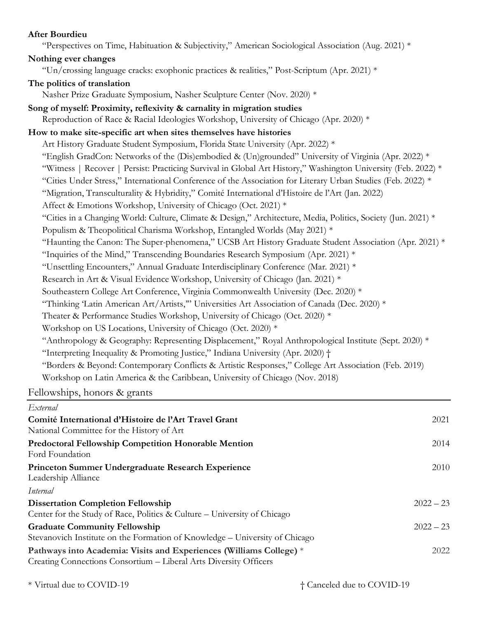## **After Bourdieu**

| "Perspectives on Time, Habituation & Subjectivity," American Sociological Association (Aug. 2021) *                                                                                                                                                                                                                                                     |
|---------------------------------------------------------------------------------------------------------------------------------------------------------------------------------------------------------------------------------------------------------------------------------------------------------------------------------------------------------|
| Nothing ever changes                                                                                                                                                                                                                                                                                                                                    |
| "Un/crossing language cracks: exophonic practices & realities," Post-Scriptum (Apr. 2021) *                                                                                                                                                                                                                                                             |
| The politics of translation                                                                                                                                                                                                                                                                                                                             |
| Nasher Prize Graduate Symposium, Nasher Sculpture Center (Nov. 2020) *                                                                                                                                                                                                                                                                                  |
| Song of myself: Proximity, reflexivity & carnality in migration studies                                                                                                                                                                                                                                                                                 |
| Reproduction of Race & Racial Ideologies Workshop, University of Chicago (Apr. 2020) *                                                                                                                                                                                                                                                                  |
| How to make site-specific art when sites themselves have histories                                                                                                                                                                                                                                                                                      |
| Art History Graduate Student Symposium, Florida State University (Apr. 2022) *                                                                                                                                                                                                                                                                          |
| "English GradCon: Networks of the (Dis)embodied & (Un)grounded" University of Virginia (Apr. 2022) *                                                                                                                                                                                                                                                    |
| "Witness   Recover   Persist: Practicing Survival in Global Art History," Washington University (Feb. 2022) *                                                                                                                                                                                                                                           |
| "Cities Under Stress," International Conference of the Association for Literary Urban Studies (Feb. 2022) *                                                                                                                                                                                                                                             |
| "Migration, Transculturality & Hybridity," Comité International d'Histoire de l'Art (Jan. 2022)                                                                                                                                                                                                                                                         |
| Affect & Emotions Workshop, University of Chicago (Oct. 2021) *                                                                                                                                                                                                                                                                                         |
| "Cities in a Changing World: Culture, Climate & Design," Architecture, Media, Politics, Society (Jun. 2021) *                                                                                                                                                                                                                                           |
| Populism & Theopolitical Charisma Workshop, Entangled Worlds (May 2021) *                                                                                                                                                                                                                                                                               |
| "Haunting the Canon: The Super-phenomena," UCSB Art History Graduate Student Association (Apr. 2021) *                                                                                                                                                                                                                                                  |
| "Inquiries of the Mind," Transcending Boundaries Research Symposium (Apr. 2021) *                                                                                                                                                                                                                                                                       |
| "Unsettling Encounters," Annual Graduate Interdisciplinary Conference (Mar. 2021) *                                                                                                                                                                                                                                                                     |
| Research in Art & Visual Evidence Workshop, University of Chicago (Jan. 2021) *                                                                                                                                                                                                                                                                         |
| Southeastern College Art Conference, Virginia Commonwealth University (Dec. 2020) *                                                                                                                                                                                                                                                                     |
| "Thinking Latin American Art/Artists," Universities Art Association of Canada (Dec. 2020) *                                                                                                                                                                                                                                                             |
| Theater & Performance Studies Workshop, University of Chicago (Oct. 2020) *                                                                                                                                                                                                                                                                             |
| Workshop on US Locations, University of Chicago (Oct. 2020) *                                                                                                                                                                                                                                                                                           |
| "Anthropology & Geography: Representing Displacement," Royal Anthropological Institute (Sept. 2020) *                                                                                                                                                                                                                                                   |
| "Interpreting Inequality & Promoting Justice," Indiana University (Apr. 2020) +                                                                                                                                                                                                                                                                         |
| "Borders & Beyond: Contemporary Conflicts & Artistic Responses," College Art Association (Feb. 2019)                                                                                                                                                                                                                                                    |
| Workshop on Latin America & the Caribbean, University of Chicago (Nov. 2018)                                                                                                                                                                                                                                                                            |
| $\Gamma$ . 11. $\Gamma$ . 1. $\Gamma$ . 1. $\Gamma$ . $\Gamma$ . $\Gamma$ . $\Gamma$ . $\Gamma$ . $\Gamma$ . $\Gamma$ . $\Gamma$ . $\Gamma$ . $\Gamma$ . $\Gamma$ . $\Gamma$ . $\Gamma$ . $\Gamma$ . $\Gamma$ . $\Gamma$ . $\Gamma$ . $\Gamma$ . $\Gamma$ . $\Gamma$ . $\Gamma$ . $\Gamma$ . $\Gamma$ . $\Gamma$ . $\Gamma$ . $\Gamma$ . $\Gamma$ . $\$ |

Fellowships, honors & grants

| External                                                                                                                                 |             |
|------------------------------------------------------------------------------------------------------------------------------------------|-------------|
| Comité International d'Histoire de l'Art Travel Grant<br>National Committee for the History of Art                                       | 2021        |
| <b>Predoctoral Fellowship Competition Honorable Mention</b><br>Ford Foundation                                                           | 2014        |
| Princeton Summer Undergraduate Research Experience<br>Leadership Alliance                                                                | 2010        |
| Internal                                                                                                                                 |             |
| <b>Dissertation Completion Fellowship</b><br>Center for the Study of Race, Politics & Culture – University of Chicago                    | $2022 - 23$ |
| <b>Graduate Community Fellowship</b><br>Stevanovich Institute on the Formation of Knowledge – University of Chicago                      | $2022 - 23$ |
| Pathways into Academia: Visits and Experiences (Williams College) *<br>Creating Connections Consortium - Liberal Arts Diversity Officers | 2022        |